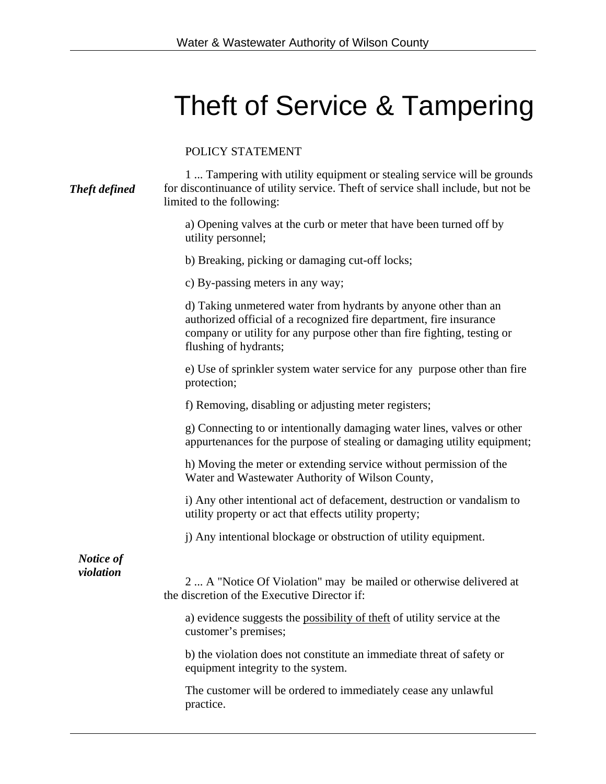## Theft of Service & Tampering

POLICY STATEMENT

| <b>Theft defined</b>   | 1 Tampering with utility equipment or stealing service will be grounds<br>for discontinuance of utility service. Theft of service shall include, but not be<br>limited to the following:                                                   |
|------------------------|--------------------------------------------------------------------------------------------------------------------------------------------------------------------------------------------------------------------------------------------|
|                        | a) Opening valves at the curb or meter that have been turned off by<br>utility personnel;                                                                                                                                                  |
|                        | b) Breaking, picking or damaging cut-off locks;                                                                                                                                                                                            |
|                        | c) By-passing meters in any way;                                                                                                                                                                                                           |
|                        | d) Taking unmetered water from hydrants by anyone other than an<br>authorized official of a recognized fire department, fire insurance<br>company or utility for any purpose other than fire fighting, testing or<br>flushing of hydrants; |
|                        | e) Use of sprinkler system water service for any purpose other than fire<br>protection;                                                                                                                                                    |
|                        | f) Removing, disabling or adjusting meter registers;                                                                                                                                                                                       |
|                        | g) Connecting to or intentionally damaging water lines, valves or other<br>appurtenances for the purpose of stealing or damaging utility equipment;                                                                                        |
|                        | h) Moving the meter or extending service without permission of the<br>Water and Wastewater Authority of Wilson County,                                                                                                                     |
|                        | i) Any other intentional act of defacement, destruction or vandalism to<br>utility property or act that effects utility property;                                                                                                          |
|                        | j) Any intentional blockage or obstruction of utility equipment.                                                                                                                                                                           |
| Notice of<br>violation | 2  A "Notice Of Violation" may be mailed or otherwise delivered at<br>the discretion of the Executive Director if:                                                                                                                         |
|                        | a) evidence suggests the possibility of theft of utility service at the<br>customer's premises;                                                                                                                                            |
|                        | b) the violation does not constitute an immediate threat of safety or<br>equipment integrity to the system.                                                                                                                                |
|                        | The customer will be ordered to immediately cease any unlawful<br>practice.                                                                                                                                                                |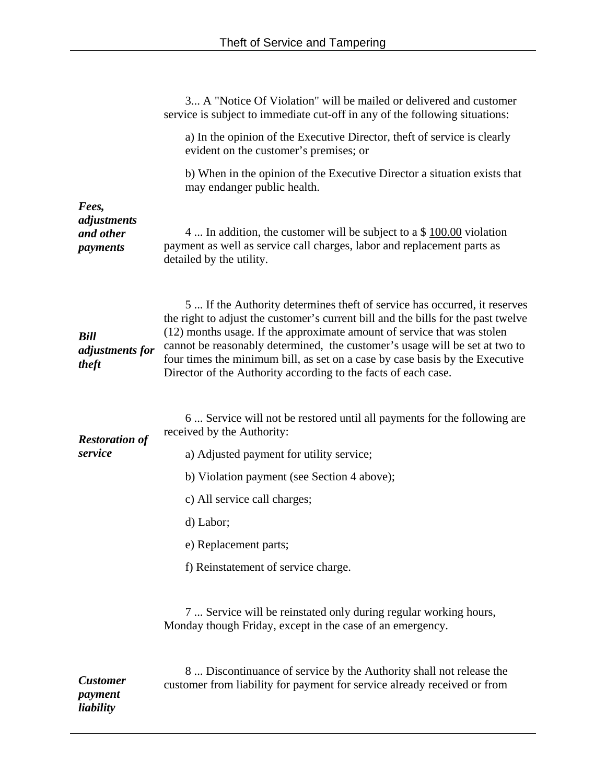|                                               | 3 A "Notice Of Violation" will be mailed or delivered and customer<br>service is subject to immediate cut-off in any of the following situations:                                                                                                                                                                                                                                                                                                                          |
|-----------------------------------------------|----------------------------------------------------------------------------------------------------------------------------------------------------------------------------------------------------------------------------------------------------------------------------------------------------------------------------------------------------------------------------------------------------------------------------------------------------------------------------|
|                                               | a) In the opinion of the Executive Director, theft of service is clearly<br>evident on the customer's premises; or                                                                                                                                                                                                                                                                                                                                                         |
|                                               | b) When in the opinion of the Executive Director a situation exists that<br>may endanger public health.                                                                                                                                                                                                                                                                                                                                                                    |
| Fees,<br>adjustments<br>and other<br>payments | 4  In addition, the customer will be subject to a $$100.00$ violation<br>payment as well as service call charges, labor and replacement parts as<br>detailed by the utility.                                                                                                                                                                                                                                                                                               |
| <b>Bill</b><br>adjustments for<br>theft       | 5  If the Authority determines theft of service has occurred, it reserves<br>the right to adjust the customer's current bill and the bills for the past twelve<br>(12) months usage. If the approximate amount of service that was stolen<br>cannot be reasonably determined, the customer's usage will be set at two to<br>four times the minimum bill, as set on a case by case basis by the Executive<br>Director of the Authority according to the facts of each case. |
| <b>Restoration of</b><br>service              | 6 Service will not be restored until all payments for the following are<br>received by the Authority:<br>a) Adjusted payment for utility service;                                                                                                                                                                                                                                                                                                                          |
|                                               | b) Violation payment (see Section 4 above);                                                                                                                                                                                                                                                                                                                                                                                                                                |
|                                               | c) All service call charges;                                                                                                                                                                                                                                                                                                                                                                                                                                               |
|                                               | d) Labor;                                                                                                                                                                                                                                                                                                                                                                                                                                                                  |
|                                               | e) Replacement parts;                                                                                                                                                                                                                                                                                                                                                                                                                                                      |
|                                               | f) Reinstatement of service charge.                                                                                                                                                                                                                                                                                                                                                                                                                                        |
|                                               | 7  Service will be reinstated only during regular working hours,<br>Monday though Friday, except in the case of an emergency.                                                                                                                                                                                                                                                                                                                                              |
| <b>Customer</b><br>payment<br>liability       | 8 Discontinuance of service by the Authority shall not release the<br>customer from liability for payment for service already received or from                                                                                                                                                                                                                                                                                                                             |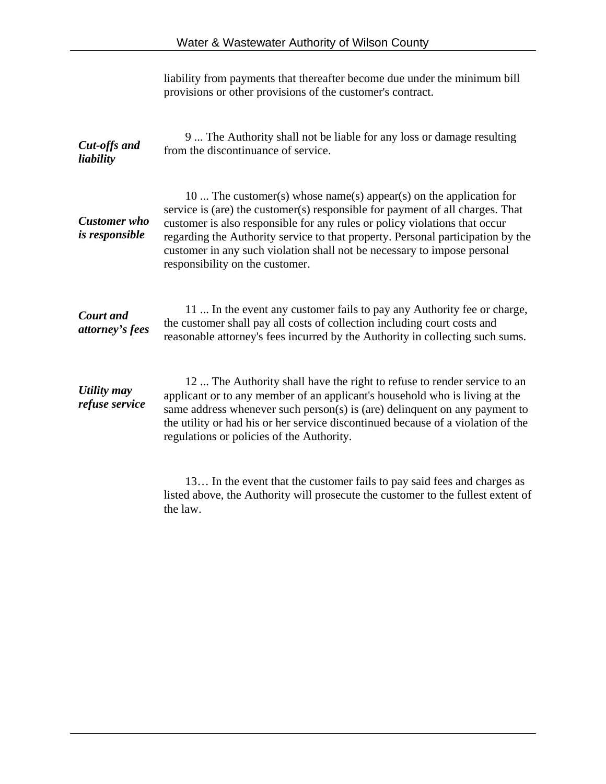|                                       | liability from payments that thereafter become due under the minimum bill<br>provisions or other provisions of the customer's contract.                                                                                                                                                                                                                                                                                             |
|---------------------------------------|-------------------------------------------------------------------------------------------------------------------------------------------------------------------------------------------------------------------------------------------------------------------------------------------------------------------------------------------------------------------------------------------------------------------------------------|
| Cut-offs and<br>liability             | 9 The Authority shall not be liable for any loss or damage resulting<br>from the discontinuance of service.                                                                                                                                                                                                                                                                                                                         |
| <b>Customer</b> who<br>is responsible | 10  The customer(s) whose name(s) appear(s) on the application for<br>service is (are) the customer(s) responsible for payment of all charges. That<br>customer is also responsible for any rules or policy violations that occur<br>regarding the Authority service to that property. Personal participation by the<br>customer in any such violation shall not be necessary to impose personal<br>responsibility on the customer. |
| <b>Court</b> and<br>attorney's fees   | 11  In the event any customer fails to pay any Authority fee or charge,<br>the customer shall pay all costs of collection including court costs and<br>reasonable attorney's fees incurred by the Authority in collecting such sums.                                                                                                                                                                                                |
| Utility may<br>refuse service         | 12  The Authority shall have the right to refuse to render service to an<br>applicant or to any member of an applicant's household who is living at the<br>same address whenever such person(s) is (are) delinquent on any payment to<br>the utility or had his or her service discontinued because of a violation of the<br>regulations or policies of the Authority.                                                              |
|                                       | 13 In the event that the customer fails to pay said fees and charges as<br>listed above, the Authority will prosecute the customer to the fullest extent of                                                                                                                                                                                                                                                                         |

the law.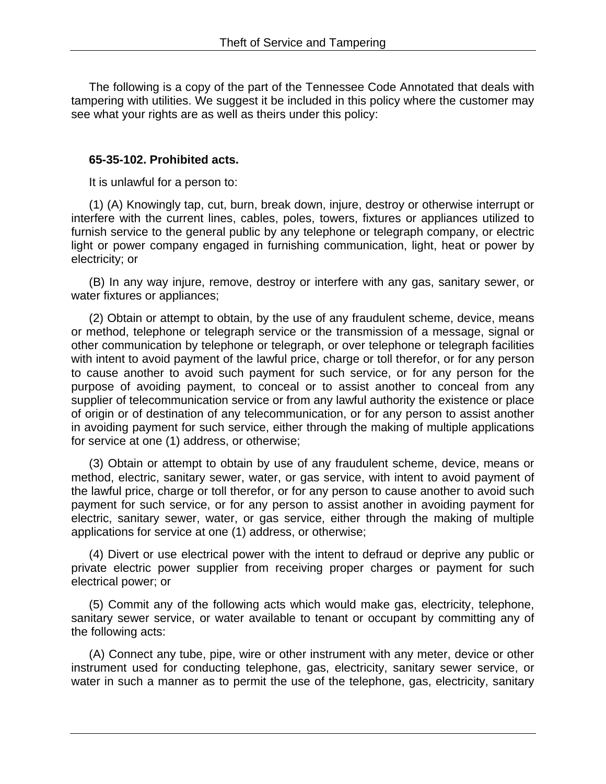The following is a copy of the part of the Tennessee Code Annotated that deals with tampering with utilities. We suggest it be included in this policy where the customer may see what your rights are as well as theirs under this policy:

## **65-35-102. Prohibited acts.**

It is unlawful for a person to:

(1) (A) Knowingly tap, cut, burn, break down, injure, destroy or otherwise interrupt or interfere with the current lines, cables, poles, towers, fixtures or appliances utilized to furnish service to the general public by any telephone or telegraph company, or electric light or power company engaged in furnishing communication, light, heat or power by electricity; or

(B) In any way injure, remove, destroy or interfere with any gas, sanitary sewer, or water fixtures or appliances;

(2) Obtain or attempt to obtain, by the use of any fraudulent scheme, device, means or method, telephone or telegraph service or the transmission of a message, signal or other communication by telephone or telegraph, or over telephone or telegraph facilities with intent to avoid payment of the lawful price, charge or toll therefor, or for any person to cause another to avoid such payment for such service, or for any person for the purpose of avoiding payment, to conceal or to assist another to conceal from any supplier of telecommunication service or from any lawful authority the existence or place of origin or of destination of any telecommunication, or for any person to assist another in avoiding payment for such service, either through the making of multiple applications for service at one (1) address, or otherwise;

(3) Obtain or attempt to obtain by use of any fraudulent scheme, device, means or method, electric, sanitary sewer, water, or gas service, with intent to avoid payment of the lawful price, charge or toll therefor, or for any person to cause another to avoid such payment for such service, or for any person to assist another in avoiding payment for electric, sanitary sewer, water, or gas service, either through the making of multiple applications for service at one (1) address, or otherwise;

(4) Divert or use electrical power with the intent to defraud or deprive any public or private electric power supplier from receiving proper charges or payment for such electrical power; or

(5) Commit any of the following acts which would make gas, electricity, telephone, sanitary sewer service, or water available to tenant or occupant by committing any of the following acts:

(A) Connect any tube, pipe, wire or other instrument with any meter, device or other instrument used for conducting telephone, gas, electricity, sanitary sewer service, or water in such a manner as to permit the use of the telephone, gas, electricity, sanitary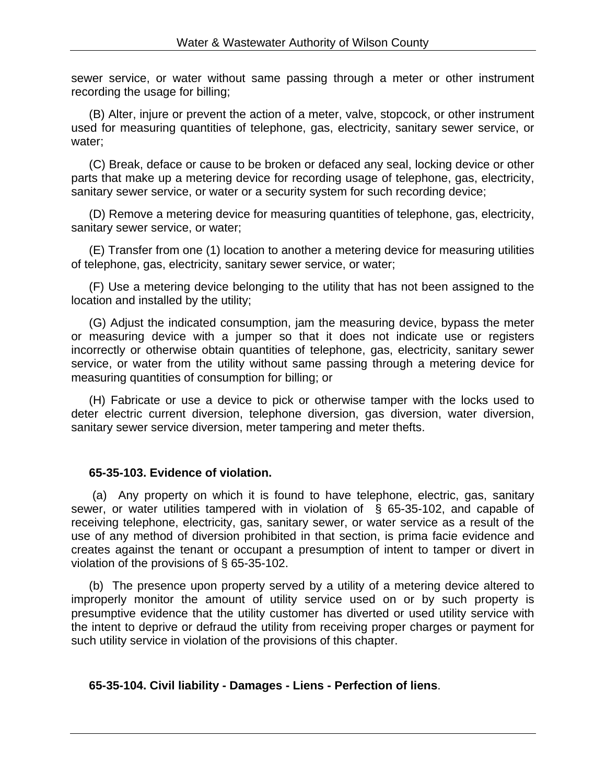sewer service, or water without same passing through a meter or other instrument recording the usage for billing;

(B) Alter, injure or prevent the action of a meter, valve, stopcock, or other instrument used for measuring quantities of telephone, gas, electricity, sanitary sewer service, or water;

(C) Break, deface or cause to be broken or defaced any seal, locking device or other parts that make up a metering device for recording usage of telephone, gas, electricity, sanitary sewer service, or water or a security system for such recording device;

(D) Remove a metering device for measuring quantities of telephone, gas, electricity, sanitary sewer service, or water;

(E) Transfer from one (1) location to another a metering device for measuring utilities of telephone, gas, electricity, sanitary sewer service, or water;

(F) Use a metering device belonging to the utility that has not been assigned to the location and installed by the utility;

(G) Adjust the indicated consumption, jam the measuring device, bypass the meter or measuring device with a jumper so that it does not indicate use or registers incorrectly or otherwise obtain quantities of telephone, gas, electricity, sanitary sewer service, or water from the utility without same passing through a metering device for measuring quantities of consumption for billing; or

(H) Fabricate or use a device to pick or otherwise tamper with the locks used to deter electric current diversion, telephone diversion, gas diversion, water diversion, sanitary sewer service diversion, meter tampering and meter thefts.

## **65-35-103. Evidence of violation.**

 (a) Any property on which it is found to have telephone, electric, gas, sanitary sewer, or water utilities tampered with in violation of § 65-35-102, and capable of receiving telephone, electricity, gas, sanitary sewer, or water service as a result of the use of any method of diversion prohibited in that section, is prima facie evidence and creates against the tenant or occupant a presumption of intent to tamper or divert in violation of the provisions of § 65-35-102.

(b) The presence upon property served by a utility of a metering device altered to improperly monitor the amount of utility service used on or by such property is presumptive evidence that the utility customer has diverted or used utility service with the intent to deprive or defraud the utility from receiving proper charges or payment for such utility service in violation of the provisions of this chapter.

## **65-35-104. Civil liability - Damages - Liens - Perfection of liens**.